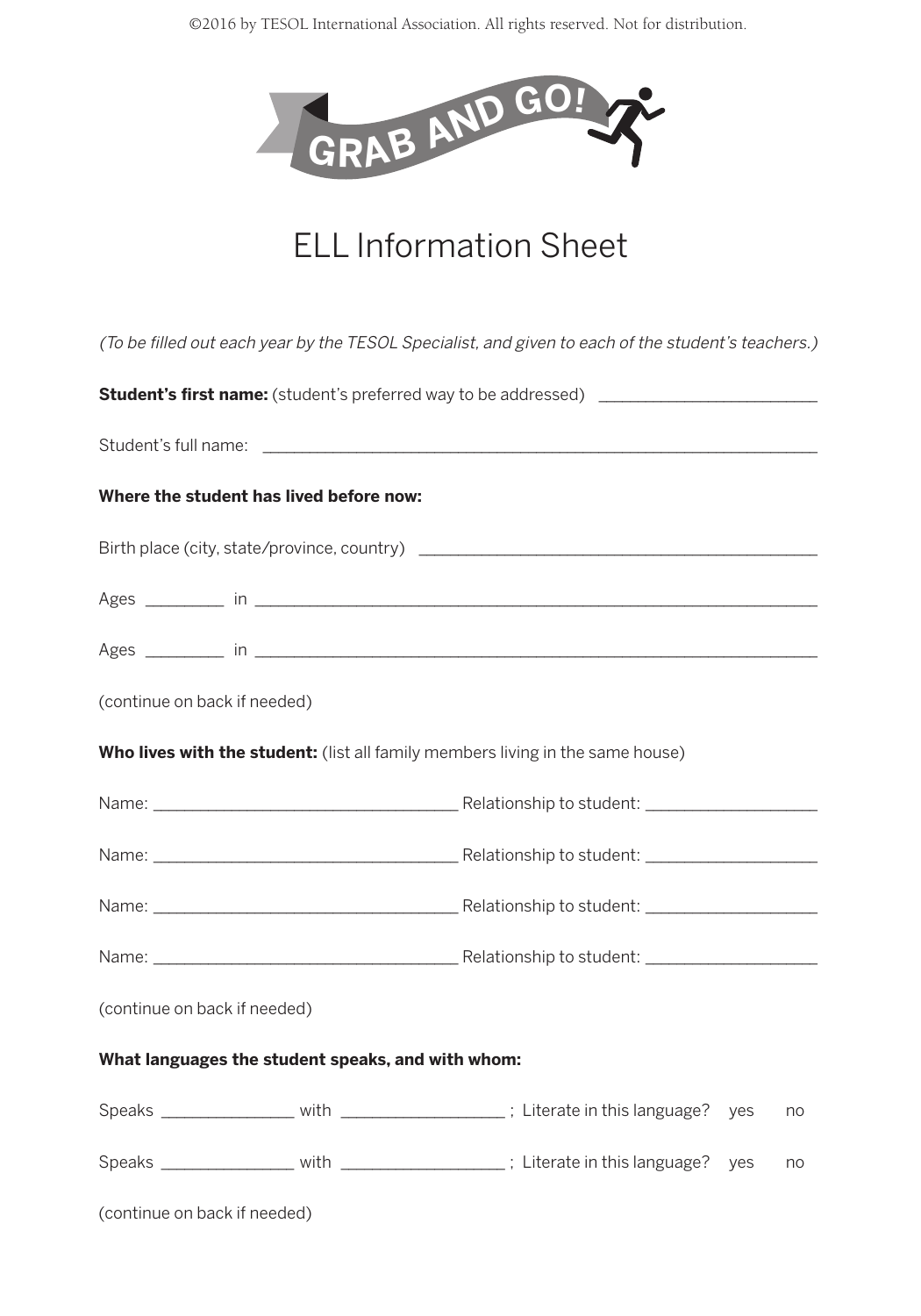©2016 by TESOL International Association. All rights reserved. Not for distribution.



## ELL Information Sheet

|                                                   | (To be filled out each year by the TESOL Specialist, and given to each of the student's teachers.) |
|---------------------------------------------------|----------------------------------------------------------------------------------------------------|
|                                                   | <b>Student's first name:</b> (student's preferred way to be addressed) ____________________        |
|                                                   |                                                                                                    |
| Where the student has lived before now:           |                                                                                                    |
|                                                   |                                                                                                    |
|                                                   |                                                                                                    |
|                                                   |                                                                                                    |
| (continue on back if needed)                      |                                                                                                    |
|                                                   | Who lives with the student: (list all family members living in the same house)                     |
|                                                   |                                                                                                    |
|                                                   |                                                                                                    |
|                                                   |                                                                                                    |
|                                                   |                                                                                                    |
| (continue on back if needed)                      |                                                                                                    |
| What languages the student speaks, and with whom: |                                                                                                    |
|                                                   | Speaks __________________ with ____________________; Literate in this language?<br>ves<br>no       |
|                                                   | Speaks _________________ with ___________________; Literate in this language?<br>yes<br>no         |
| (continue on back if needed)                      |                                                                                                    |